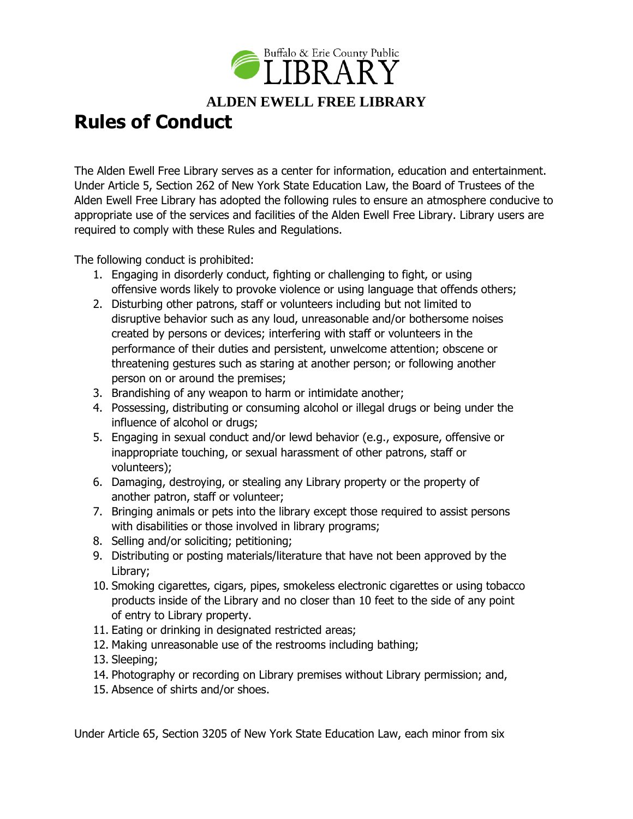

## **Rules of Conduct**

The Alden Ewell Free Library serves as a center for information, education and entertainment. Under Article 5, Section 262 of New York State Education Law, the Board of Trustees of the Alden Ewell Free Library has adopted the following rules to ensure an atmosphere conducive to appropriate use of the services and facilities of the Alden Ewell Free Library. Library users are required to comply with these Rules and Regulations.

The following conduct is prohibited:

- 1. Engaging in disorderly conduct, fighting or challenging to fight, or using offensive words likely to provoke violence or using language that offends others;
- 2. Disturbing other patrons, staff or volunteers including but not limited to disruptive behavior such as any loud, unreasonable and/or bothersome noises created by persons or devices; interfering with staff or volunteers in the performance of their duties and persistent, unwelcome attention; obscene or threatening gestures such as staring at another person; or following another person on or around the premises;
- 3. Brandishing of any weapon to harm or intimidate another;
- 4. Possessing, distributing or consuming alcohol or illegal drugs or being under the influence of alcohol or drugs;
- 5. Engaging in sexual conduct and/or lewd behavior (e.g., exposure, offensive or inappropriate touching, or sexual harassment of other patrons, staff or volunteers);
- 6. Damaging, destroying, or stealing any Library property or the property of another patron, staff or volunteer;
- 7. Bringing animals or pets into the library except those required to assist persons with disabilities or those involved in library programs;
- 8. Selling and/or soliciting; petitioning;
- 9. Distributing or posting materials/literature that have not been approved by the Library;
- 10. Smoking cigarettes, cigars, pipes, smokeless electronic cigarettes or using tobacco products inside of the Library and no closer than 10 feet to the side of any point of entry to Library property.
- 11. Eating or drinking in designated restricted areas;
- 12. Making unreasonable use of the restrooms including bathing;
- 13. Sleeping;
- 14. Photography or recording on Library premises without Library permission; and,
- 15. Absence of shirts and/or shoes.

Under Article 65, Section 3205 of New York State Education Law, each minor from six